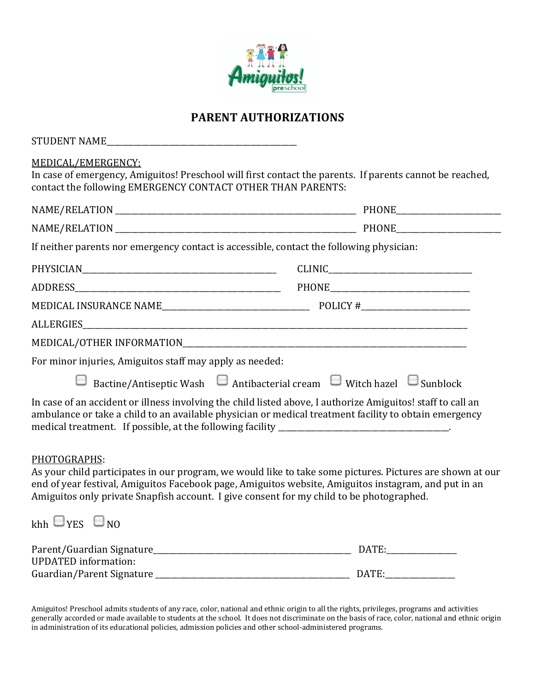

## **PARENT AUTHORIZATIONS**

| STUDENT NAME                                                                                                                                                                                                                                                                                                                  |  |
|-------------------------------------------------------------------------------------------------------------------------------------------------------------------------------------------------------------------------------------------------------------------------------------------------------------------------------|--|
| MEDICAL/EMERGENCY:<br>In case of emergency, Amiguitos! Preschool will first contact the parents. If parents cannot be reached,<br>contact the following EMERGENCY CONTACT OTHER THAN PARENTS:                                                                                                                                 |  |
|                                                                                                                                                                                                                                                                                                                               |  |
|                                                                                                                                                                                                                                                                                                                               |  |
| If neither parents nor emergency contact is accessible, contact the following physician:                                                                                                                                                                                                                                      |  |
|                                                                                                                                                                                                                                                                                                                               |  |
|                                                                                                                                                                                                                                                                                                                               |  |
|                                                                                                                                                                                                                                                                                                                               |  |
|                                                                                                                                                                                                                                                                                                                               |  |
|                                                                                                                                                                                                                                                                                                                               |  |
| For minor injuries, Amiguitos staff may apply as needed:                                                                                                                                                                                                                                                                      |  |
| □ Bactine/Antiseptic Wash □ Antibacterial cream □ Witch hazel □ Sunblock                                                                                                                                                                                                                                                      |  |
| In case of an accident or illness involving the child listed above, I authorize Amiguitos! staff to call an<br>ambulance or take a child to an available physician or medical treatment facility to obtain emergency<br>medical treatment. If possible, at the following facility ___________________________________.        |  |
| PHOTOGRAPHS:<br>As your child participates in our program, we would like to take some pictures. Pictures are shown at our<br>end of year festival, Amiguitos Facebook page, Amiguitos website, Amiguitos instagram, and put in an<br>Amiguitos only private Snapfish account. I give consent for my child to be photographed. |  |
| $khh \sqcup_{YES} \sqcup_{NO}$                                                                                                                                                                                                                                                                                                |  |

| Parent/Guardian Signature_  | <b>DATE</b> |
|-----------------------------|-------------|
| <b>UPDATED</b> information: |             |
| Guardian/Parent Signature   | DATE:       |

Amiguitos! Preschool admits students of any race, color, national and ethnic origin to all the rights, privileges, programs and activities generally accorded or made available to students at the school. It does not discriminate on the basis of race, color, national and ethnic origin in administration of its educational policies, admission policies and other school-administered programs.